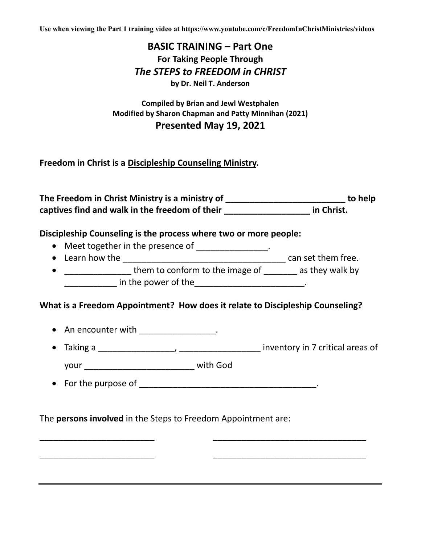**Use when viewing the Part 1 training video at https://www.youtube.com/c/FreedomInChristMinistries/videos**

# **BASIC TRAINING – Part One For Taking People Through** *The STEPS to FREEDOM in CHRIST* **by Dr. Neil T. Anderson**

#### **Compiled by Brian and Jewl Westphalen Modified by Sharon Chapman and Patty Minnihan (2021) Presented May 19, 2021**

**Freedom in Christ is a Discipleship Counseling Ministry.**

**The Freedom in Christ Ministry is a ministry of \_\_\_\_\_\_\_\_\_\_\_\_\_\_\_\_\_\_\_\_\_\_\_\_\_ to help captives find and walk in the freedom of their \_\_\_\_\_\_\_\_\_\_\_\_\_\_\_\_\_\_ in Christ.** 

#### **Discipleship Counseling is the process where two or more people:**

- Meet together in the presence of \_\_\_\_\_\_\_\_\_\_\_\_\_\_\_.
- Learn how the \_\_\_\_\_\_\_\_\_\_\_\_\_\_\_\_\_\_\_\_\_\_\_\_\_\_\_\_\_\_\_\_\_\_ can set them free.
- \_\_\_\_\_\_\_\_\_\_\_\_\_\_\_\_\_ them to conform to the image of \_\_\_\_\_\_\_\_ as they walk by \_\_\_\_\_ in the power of the \_\_\_\_\_\_\_\_\_\_\_\_\_\_\_\_\_\_\_\_\_\_\_\_\_\_\_\_.

### **What is a Freedom Appointment? How does it relate to Discipleship Counseling?**

\_\_\_\_\_\_\_\_\_\_\_\_\_\_\_\_\_\_\_\_\_\_\_\_ \_\_\_\_\_\_\_\_\_\_\_\_\_\_\_\_\_\_\_\_\_\_\_\_\_\_\_\_\_\_\_\_

\_\_\_\_\_\_\_\_\_\_\_\_\_\_\_\_\_\_\_\_\_\_\_\_ \_\_\_\_\_\_\_\_\_\_\_\_\_\_\_\_\_\_\_\_\_\_\_\_\_\_\_\_\_\_\_\_

- An encounter with \_\_\_\_\_\_\_\_\_\_\_\_\_\_\_.
- Taking a \_\_\_\_\_\_\_\_\_\_\_\_\_\_\_\_, \_\_\_\_\_\_\_\_\_\_\_\_\_\_\_\_\_ inventory in 7 critical areas of your \_\_\_\_\_\_\_\_\_\_\_\_\_\_\_\_\_\_\_\_\_\_\_ with God
- For the purpose of  $\qquad \qquad$

### The **persons involved** in the Steps to Freedom Appointment are: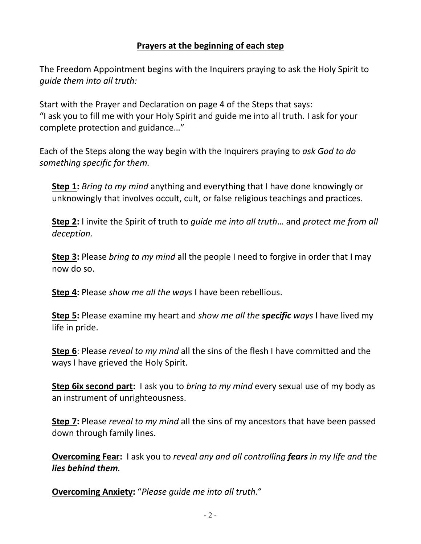## **Prayers at the beginning of each step**

The Freedom Appointment begins with the Inquirers praying to ask the Holy Spirit to *guide them into all truth:*

Start with the Prayer and Declaration on page 4 of the Steps that says: "I ask you to fill me with your Holy Spirit and guide me into all truth. I ask for your complete protection and guidance…"

Each of the Steps along the way begin with the Inquirers praying to *ask God to do something specific for them.*

**Step 1:** *Bring to my mind* anything and everything that I have done knowingly or unknowingly that involves occult, cult, or false religious teachings and practices.

**Step 2:** I invite the Spirit of truth to *guide me into all truth*… and *protect me from all deception.* 

**Step 3:** Please *bring to my mind* all the people I need to forgive in order that I may now do so.

**Step 4:** Please *show me all the ways* I have been rebellious.

**Step 5:** Please examine my heart and *show me all the specific ways* I have lived my life in pride.

**Step 6**: Please *reveal to my mind* all the sins of the flesh I have committed and the ways I have grieved the Holy Spirit.

**Step 6ix second part:** I ask you to *bring to my mind* every sexual use of my body as an instrument of unrighteousness.

**Step 7:** Please *reveal to my mind* all the sins of my ancestors that have been passed down through family lines.

**Overcoming Fear:** I ask you to *reveal any and all controlling fears in my life and the lies behind them.*

**Overcoming Anxiety:** "*Please guide me into all truth."*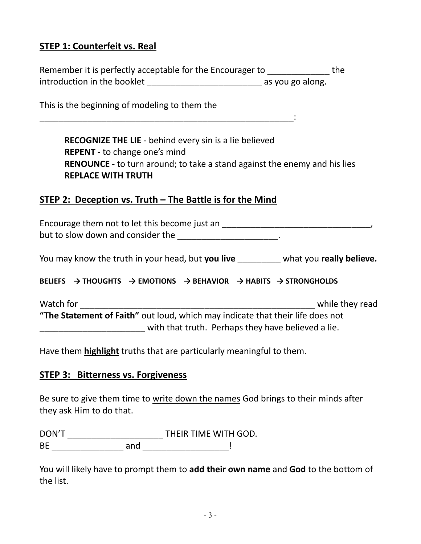# **STEP 1: Counterfeit vs. Real**

| Remember it is perfectly acceptable for the Encourager to |                  | the |
|-----------------------------------------------------------|------------------|-----|
| introduction in the booklet                               | as you go along. |     |

This is the beginning of modeling to them the

**RECOGNIZE THE LIE** - behind every sin is a lie believed **REPENT** - to change one's mind **RENOUNCE** - to turn around; to take a stand against the enemy and his lies **REPLACE WITH TRUTH** 

# **STEP 2: Deception vs. Truth – The Battle is for the Mind**

\_\_\_\_\_\_\_\_\_\_\_\_\_\_\_\_\_\_\_\_\_\_\_\_\_\_\_\_\_\_\_\_\_\_\_\_\_\_\_\_\_\_\_\_\_\_\_\_\_\_\_\_\_:

Encourage them not to let this become just an \_\_\_\_\_\_\_\_\_\_\_\_\_\_\_\_\_\_\_\_\_\_\_\_\_\_\_\_\_\_\_\_\_\_, but to slow down and consider the \_\_\_\_\_\_\_\_\_\_\_\_\_\_\_\_\_\_\_\_.

You may know the truth in your head, but **you live** \_\_\_\_\_\_\_\_\_ what you **really believe.** 

#### **BELIEFS → THOUGHTS → EMOTIONS → BEHAVIOR → HABITS → STRONGHOLDS**

Watch for while they read **"The Statement of Faith"** out loud, which may indicate that their life does not \_\_\_\_\_\_\_\_\_\_\_\_\_\_\_\_\_\_\_\_\_\_ with that truth. Perhaps they have believed a lie.

Have them **highlight** truths that are particularly meaningful to them.

### **STEP 3: Bitterness vs. Forgiveness**

Be sure to give them time to write down the names God brings to their minds after they ask Him to do that.

DON'T \_\_\_\_\_\_\_\_\_\_\_\_\_\_\_\_\_\_\_\_ THEIR TIME WITH GOD. BE \_\_\_\_\_\_\_\_\_\_\_\_\_\_\_ and \_\_\_\_\_\_\_\_\_\_\_\_\_\_\_\_\_\_!

You will likely have to prompt them to **add their own name** and **God** to the bottom of the list.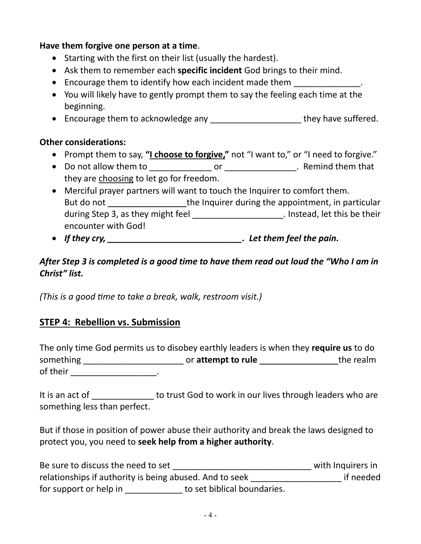### **Have them forgive one person at a time**.

- Starting with the first on their list (usually the hardest).
- Ask them to remember each **specific incident** God brings to their mind.
- Encourage them to identify how each incident made them
- You will likely have to gently prompt them to say the feeling each time at the beginning.
- Encourage them to acknowledge any entitled and they have suffered.

## **Other considerations:**

- Prompt them to say, "I choose to forgive," not "I want to," or "I need to forgive."
- Do not allow them to \_\_\_\_\_\_\_\_\_\_\_\_\_ or \_\_\_\_\_\_\_\_\_\_\_\_\_\_\_. Remind them that they are choosing to let go for freedom.
- Merciful prayer partners will want to touch the Inquirer to comfort them. But do not the Inquirer during the appointment, in particular during Step 3, as they might feel \_\_\_\_\_\_\_\_\_\_\_\_\_\_\_\_\_\_\_\_\_\_. Instead, let this be their encounter with God!
- *If they cry, \_\_\_\_\_\_\_\_\_\_\_\_\_\_\_\_\_\_\_\_\_\_\_\_\_\_\_\_. Let them feel the pain.*

# *After Step 3 is completed is a good time to have them read out loud the "Who I am in Christ" list.*

*(This is a good time to take a break, walk, restroom visit.)*

# **STEP 4: Rebellion vs. Submission**

The only time God permits us to disobey earthly leaders is when they **require us** to do something \_\_\_\_\_\_\_\_\_\_\_\_\_\_\_\_\_\_\_\_\_\_\_\_\_\_\_\_\_\_\_\_\_\_ or attempt to rule \_\_\_\_\_\_\_\_\_\_\_\_\_\_\_\_\_\_\_\_\_\_\_\_\_\_\_\_the realm of their \_\_\_\_\_\_\_\_\_\_\_\_\_\_\_\_\_\_\_\_\_\_\_.

It is an act of \_\_\_\_\_\_\_\_\_\_\_\_\_\_\_ to trust God to work in our lives through leaders who are something less than perfect.

But if those in position of power abuse their authority and break the laws designed to protect you, you need to **seek help from a higher authority**.

| Be sure to discuss the need to set                      |                             | with Inquirers in |
|---------------------------------------------------------|-----------------------------|-------------------|
| relationships if authority is being abused. And to seek |                             | if needed         |
| for support or help in                                  | to set biblical boundaries. |                   |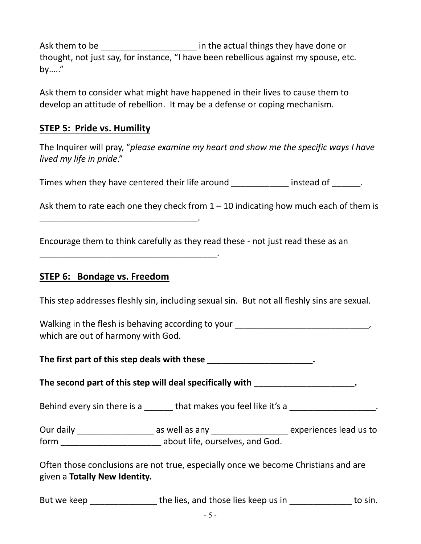Ask them to be \_\_\_\_\_\_\_\_\_\_\_\_\_\_\_\_\_\_\_\_\_\_\_ in the actual things they have done or thought, not just say, for instance, "I have been rebellious against my spouse, etc. by….."

Ask them to consider what might have happened in their lives to cause them to develop an attitude of rebellion. It may be a defense or coping mechanism.

# **STEP 5: Pride vs. Humility**

The Inquirer will pray, "*please examine my heart and show me the specific ways I have lived my life in pride*."

Times when they have centered their life around **their instead of**  $\blacksquare$ .

Ask them to rate each one they check from  $1 - 10$  indicating how much each of them is

Encourage them to think carefully as they read these - not just read these as an

\_\_\_\_\_\_\_\_\_\_\_\_\_\_\_\_\_\_\_\_\_\_\_\_\_\_\_\_\_\_\_\_\_\_\_\_\_.

\_\_\_\_\_\_\_\_\_\_\_\_\_\_\_\_\_\_\_\_\_\_\_\_\_\_\_\_\_\_\_\_\_.

# **STEP 6: Bondage vs. Freedom**

This step addresses fleshly sin, including sexual sin. But not all fleshly sins are sexual.

Walking in the flesh is behaving according to your \_\_\_\_\_\_\_\_\_\_\_\_\_\_\_\_\_\_\_\_\_\_\_\_\_\_\_\_\_, which are out of harmony with God.

The first part of this step deals with these **the contract of the step deals** with these  $\cdot$ 

**The second part of this step will deal specifically with \_\_\_\_\_\_\_\_\_\_\_\_\_\_\_\_\_\_\_\_\_.**

Behind every sin there is a  $\blacksquare$  that makes you feel like it's a  $\blacksquare$ 

Our daily \_\_\_\_\_\_\_\_\_\_\_\_\_\_\_\_ as well as any \_\_\_\_\_\_\_\_\_\_\_\_\_\_\_\_ experiences lead us to form about life, ourselves, and God.

Often those conclusions are not true, especially once we become Christians and are given a **Totally New Identity.**

| But we keep | the lies, and those lies keep us in | to sin. |
|-------------|-------------------------------------|---------|
|-------------|-------------------------------------|---------|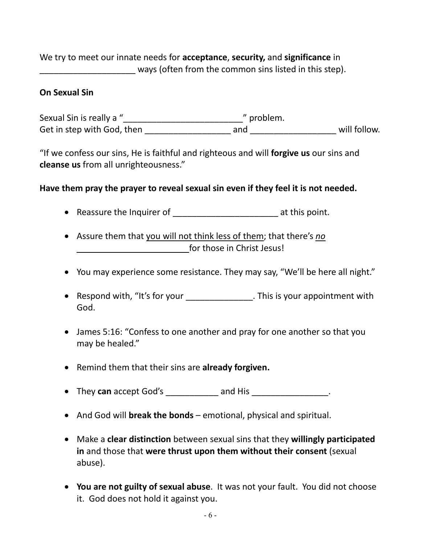We try to meet our innate needs for **acceptance**, **security,** and **significance** in ways (often from the common sins listed in this step).

#### **On Sexual Sin**

Sexual Sin is really a "\_\_\_\_\_\_\_\_\_\_\_\_\_\_\_\_\_\_\_\_\_\_\_\_\_" problem. Get in step with God, then \_\_\_\_\_\_\_\_\_\_\_\_\_\_\_\_\_\_ and \_\_\_\_\_\_\_\_\_\_\_\_\_\_\_\_\_\_ will follow.

"If we confess our sins, He is faithful and righteous and will **forgive us** our sins and **cleanse us** from all unrighteousness."

#### **Have them pray the prayer to reveal sexual sin even if they feel it is not needed.**

- Reassure the Inquirer of **Exercise 2** at this point.
- Assure them that you will not think less of them; that there's *no*  for those in Christ Jesus!
- You may experience some resistance. They may say, "We'll be here all night."
- Respond with, "It's for your \_\_\_\_\_\_\_\_\_\_\_\_\_\_\_\_. This is your appointment with God.
- James 5:16: "Confess to one another and pray for one another so that you may be healed."
- Remind them that their sins are **already forgiven.**
- They can accept God's \_\_\_\_\_\_\_\_\_\_\_ and His \_\_\_\_\_\_\_\_\_\_\_\_\_\_\_\_.
- And God will **break the bonds** emotional, physical and spiritual.
- Make a **clear distinction** between sexual sins that they **willingly participated in** and those that **were thrust upon them without their consent** (sexual abuse).
- **You are not guilty of sexual abuse**. It was not your fault. You did not choose it. God does not hold it against you.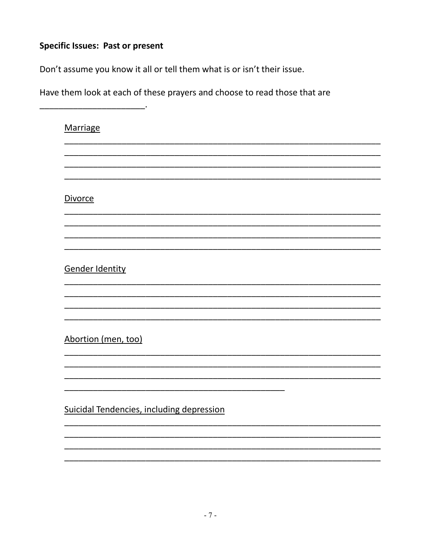# **Specific Issues: Past or present**

Don't assume you know it all or tell them what is or isn't their issue.

Have them look at each of these prayers and choose to read those that are

| Marriage                                  |
|-------------------------------------------|
|                                           |
| <b>Divorce</b>                            |
|                                           |
|                                           |
| Gender Identity                           |
|                                           |
| Abortion (men, too)                       |
|                                           |
| Suicidal Tendencies, including depression |
|                                           |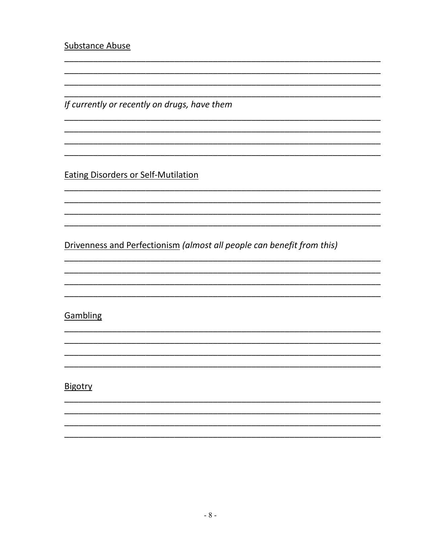**Substance Abuse** 

If currently or recently on drugs, have them

**Eating Disorders or Self-Mutilation** 

Drivenness and Perfectionism (almost all people can benefit from this)

## Gambling

### Bigotry